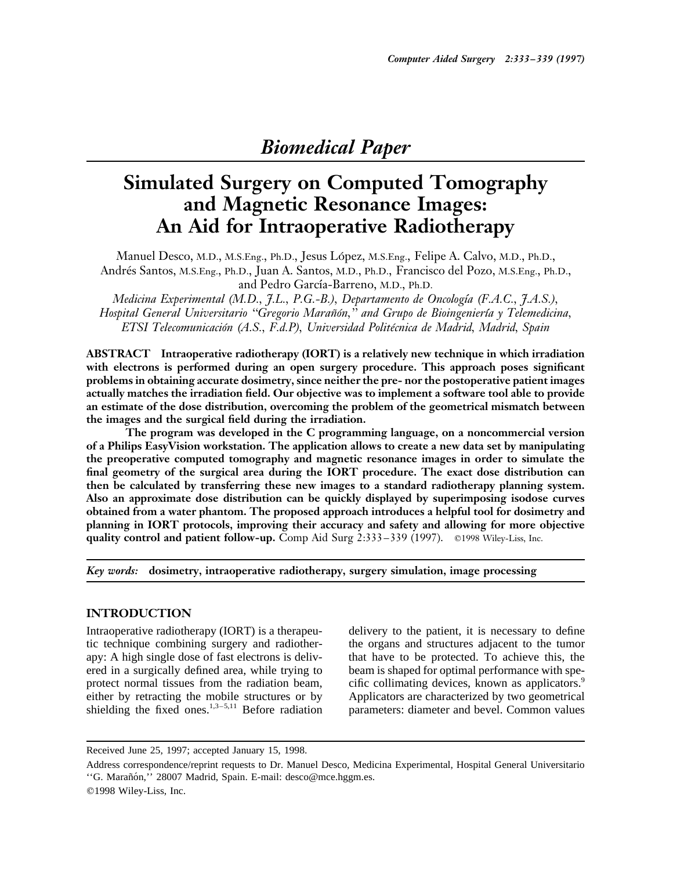# **Simulated Surgery on Computed Tomography and Magnetic Resonance Images: An Aid for Intraoperative Radiotherapy**

Manuel Desco, M.D., M.S.Eng., Ph.D., Jesus López, M.S.Eng., Felipe A. Calvo, M.D., Ph.D., Andre´s Santos, M.S.Eng., Ph.D., Juan A. Santos, M.D., Ph.D., Francisco del Pozo, M.S.Eng., Ph.D., and Pedro García-Barreno, M.D., Ph.D.

*Medicina Experimental (M.D., J.L., P.G.-B.), Departamento de Oncología (F.A.C., J.A.S.), Hospital General Universitario "Gregorio Marañón," and Grupo de Bioingeniería y Telemedicina, ETSI Telecomunicacio´n (A.S., F.d.P), Universidad Polite´cnica de Madrid, Madrid, Spain*

**ABSTRACT Intraoperative radiotherapy (IORT) is a relatively new technique in which irradiation with electrons is performed during an open surgery procedure. This approach poses significant problems in obtaining accurate dosimetry, since neither the pre- nor the postoperative patient images actually matches the irradiation field. Our objective was to implement a software tool able to provide an estimate of the dose distribution, overcoming the problem of the geometrical mismatch between the images and the surgical field during the irradiation.**

**The program was developed in the C programming language, on a noncommercial version of a Philips EasyVision workstation. The application allows to create a new data set by manipulating the preoperative computed tomography and magnetic resonance images in order to simulate the final geometry of the surgical area during the IORT procedure. The exact dose distribution can then be calculated by transferring these new images to a standard radiotherapy planning system. Also an approximate dose distribution can be quickly displayed by superimposing isodose curves obtained from a water phantom. The proposed approach introduces a helpful tool for dosimetry and planning in IORT protocols, improving their accuracy and safety and allowing for more objective** quality control and patient follow-up. Comp Aid Surg 2:333-339 (1997). ©1998 Wiley-Liss, Inc.

*Key words:* **dosimetry, intraoperative radiotherapy, surgery simulation, image processing**

## **INTRODUCTION**

tic technique combining surgery and radiother- the organs and structures adjacent to the tumor apy: A high single dose of fast electrons is deliv- that have to be protected. To achieve this, the ered in a surgically defined area, while trying to beam is shaped for optimal performance with speprotect normal tissues from the radiation beam, cific collimating devices, known as applicators.<sup>9</sup> either by retracting the mobile structures or by Applicators are characterized by two geometrical shielding the fixed ones.<sup>1,3–5,11</sup> Before radiation parameters: diameter and bevel. Common values

Intraoperative radiotherapy (IORT) is a therapeu-<br>delivery to the patient, it is necessary to define

Received June 25, 1997; accepted January 15, 1998.

Address correspondence/reprint requests to Dr. Manuel Desco, Medicina Experimental, Hospital General Universitario "G. Marañón," 28007 Madrid, Spain. E-mail: desco@mce.hggm.es.

<sup>©1998</sup> Wiley-Liss, Inc.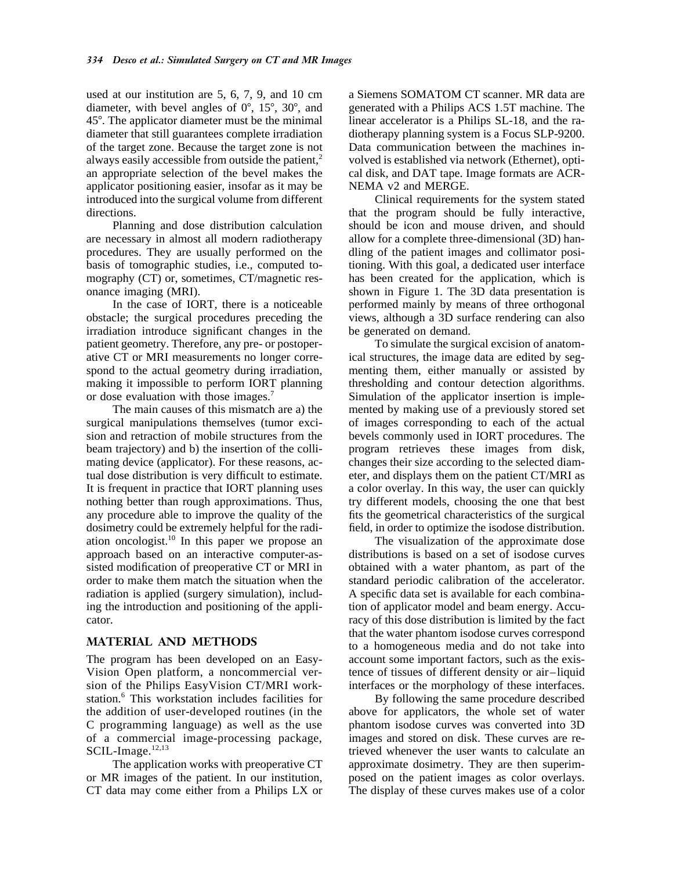diameter, with bevel angles of  $0^{\circ}$ , 15°, 30°, and generated with a Philips ACS 1.5T machine. The 457. The applicator diameter must be the minimal linear accelerator is a Philips SL-18, and the radiameter that still guarantees complete irradiation diotherapy planning system is a Focus SLP-9200. of the target zone. Because the target zone is not Data communication between the machines inalways easily accessible from outside the patient, volved is established via network (Ethernet), optian appropriate selection of the bevel makes the cal disk, and DAT tape. Image formats are ACRapplicator positioning easier, insofar as it may be NEMA v2 and MERGE. introduced into the surgical volume from different Clinical requirements for the system stated directions. that the program should be fully interactive,

are necessary in almost all modern radiotherapy allow for a complete three-dimensional (3D) hanprocedures. They are usually performed on the dling of the patient images and collimator posibasis of tomographic studies, i.e., computed to- tioning. With this goal, a dedicated user interface mography (CT) or, sometimes, CT/magnetic res- has been created for the application, which is onance imaging (MRI). Shown in Figure 1. The 3D data presentation is

obstacle; the surgical procedures preceding the views, although a 3D surface rendering can also irradiation introduce significant changes in the be generated on demand. patient geometry. Therefore, any pre- or postoper- To simulate the surgical excision of anatomative CT or MRI measurements no longer corre- ical structures, the image data are edited by segspond to the actual geometry during irradiation, menting them, either manually or assisted by making it impossible to perform IORT planning thresholding and contour detection algorithms. or dose evaluation with those images.<sup>7</sup> Simulation of the applicator insertion is imple-

surgical manipulations themselves (tumor exci- of images corresponding to each of the actual sion and retraction of mobile structures from the bevels commonly used in IORT procedures. The beam trajectory) and b) the insertion of the colli- program retrieves these images from disk, mating device (applicator). For these reasons, ac-<br>changes their size according to the selected diamtual dose distribution is very difficult to estimate. eter, and displays them on the patient CT/MRI as It is frequent in practice that IORT planning uses a color overlay. In this way, the user can quickly nothing better than rough approximations. Thus, try different models, choosing the one that best any procedure able to improve the quality of the fits the geometrical characteristics of the surgical dosimetry could be extremely helpful for the radi- field, in order to optimize the isodose distribution. ation oncologist.<sup>10</sup> In this paper we propose an The visualization of the approximate dose approach based on an interactive computer-as- distributions is based on a set of isodose curves sisted modification of preoperative CT or MRI in obtained with a water phantom, as part of the order to make them match the situation when the standard periodic calibration of the accelerator. radiation is applied (surgery simulation), includ- A specific data set is available for each combinaing the introduction and positioning of the appli- tion of applicator model and beam energy. Accucator. The racy of this dose distribution is limited by the fact

Vision Open platform, a noncommercial ver- tence of tissues of different density or air–liquid sion of the Philips EasyVision CT/MRI work- interfaces or the morphology of these interfaces. station.<sup>6</sup> This workstation includes facilities for By following the same procedure described the addition of user-developed routines (in the above for applicators, the whole set of water C programming language) as well as the use phantom isodose curves was converted into 3D of a commercial image-processing package, images and stored on disk. These curves are re-

or MR images of the patient. In our institution, posed on the patient images as color overlays. CT data may come either from a Philips LX or The display of these curves makes use of a color

used at our institution are 5, 6, 7, 9, and 10 cm a Siemens SOMATOM CT scanner. MR data are

Planning and dose distribution calculation should be icon and mouse driven, and should In the case of IORT, there is a noticeable performed mainly by means of three orthogonal

The main causes of this mismatch are a) the mented by making use of a previously stored set

**THERIAL AND METHODS** that the water phantom isodose curves correspond<br>to a homogeneous media and do not take into The program has been developed on an Easy- account some important factors, such as the exis-

SCIL-Image.<sup>12,13</sup> trieved whenever the user wants to calculate an The application works with preoperative CT approximate dosimetry. They are then superim-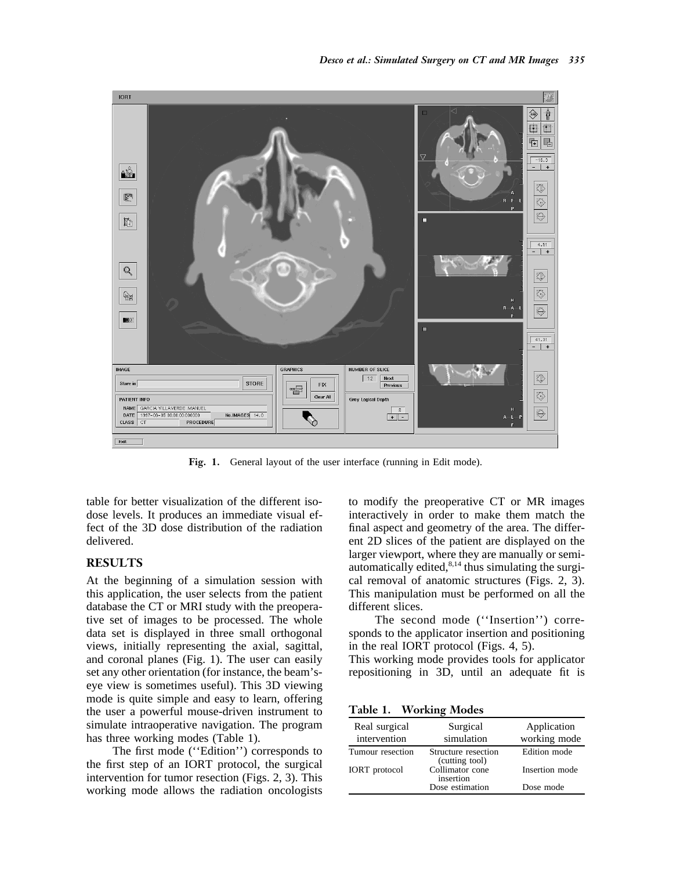

**Fig. 1.** General layout of the user interface (running in Edit mode).

table for better visualization of the different iso- to modify the preoperative CT or MR images dose levels. It produces an immediate visual ef-<br>interactively in order to make them match the fect of the 3D dose distribution of the radiation final aspect and geometry of the area. The differ-

At the beginning of a simulation session with this application, the user selects from the patient This manipulation must be performed on all the database the CT or MRI study with the preopera-<br>different slices. tive set of images to be processed. The whole The second mode ("Insertion") corredata set is displayed in three small orthogonal sponds to the applicator insertion and positioning views, initially representing the axial, sagittal, in the real IORT protocol (Figs. 4, 5). views, initially representing the axial, sagittal, and coronal planes (Fig. 1). The user can easily and coronal planes (Fig. 1). The user can easily This working mode provides tools for applicator set any other orientation (for instance, the beam's-<br>repositioning in 3D, until an adequate fit is eye view is sometimes useful). This 3D viewing mode is quite simple and easy to learn, offering the user a powerful mouse-driven instrument to **Table 1. Working Modes** simulate intraoperative navigation. The program has three working modes (Table 1).

The first mode ("Edition") corresponds to the first step of an IORT protocol, the surgical intervention for tumor resection (Figs. 2, 3). This working mode allows the radiation oncologists

delivered. ent 2D slices of the patient are displayed on the **RESULTS** larger viewport, where they are manually or semi-<br>automatically edited,<sup>8,14</sup> thus simulating the surgi-<br>At the beginning of a simulation session with cal removal of anatomic structures (Figs. 2, 3).

repositioning in 3D, until an adequate fit is

| Real surgical<br>intervention | Surgical<br>simulation                | Application<br>working mode |
|-------------------------------|---------------------------------------|-----------------------------|
| Tumour resection              | Structure resection<br>(cutting tool) | Edition mode                |
| <b>IORT</b> protocol          | Collimator cone<br>insertion          | Insertion mode              |
|                               | Dose estimation                       | Dose mode                   |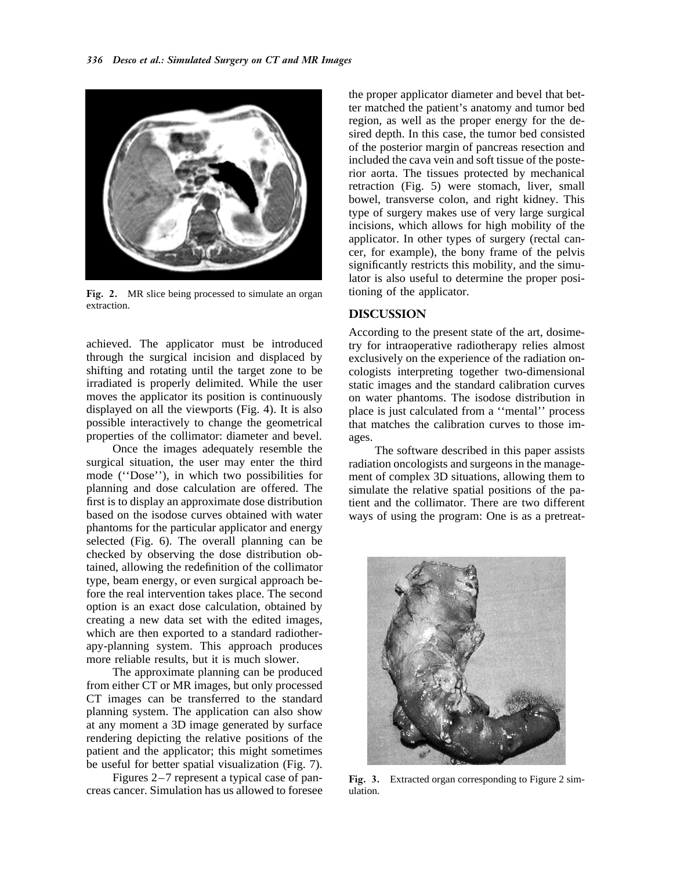

Fig. 2. MR slice being processed to simulate an organ tioning of the applicator. extraction.

through the surgical incision and displaced by exclusively on the experience of the radiation on-<br>shifting and rotating until the target zone to be cologists interpreting together two-dimensional irradiated is properly delimited. While the user static images and the standard calibration curves moves the applicator its position is continuously on water phantoms. The isodose distribution in moves the applicator its position is continuously on water phantoms. The isodose distribution in displayed on all the viewports (Fig. 4). It is also place is just calculated from a "mental" process displayed on all the viewports (Fig. 4). It is also place is just calculated from a "mental" process possible interactively to change the geometrical that matches the calibration curves to those improperties of the collimator: diameter and bevel. ages.<br>Once the images adequately resemble the

Once the images adequately resemble the The software described in this paper assists surgical situation, the user may enter the third radiation oncologists and surgeons in the managesurgical situation, the user may enter the third radiation oncologists and surgeons in the manage-<br>mode ("Dose"), in which two possibilities for ment of complex 3D situations, allowing them to mode ("Dose"), in which two possibilities for ment of complex 3D situations, allowing them to planning and dose calculation are offered. The simulate the relative spatial positions of the paplanning and dose calculation are offered. The simulate the relative spatial positions of the pa-<br>first is to display an approximate dose distribution tient and the collimator. There are two different first is to display an approximate dose distribution tient and the collimator. There are two different based on the isodose curves obtained with water ways of using the program: One is as a pretreatphantoms for the particular applicator and energy selected (Fig. 6). The overall planning can be checked by observing the dose distribution obtained, allowing the redefinition of the collimator type, beam energy, or even surgical approach before the real intervention takes place. The second option is an exact dose calculation, obtained by creating a new data set with the edited images, which are then exported to a standard radiotherapy-planning system. This approach produces more reliable results, but it is much slower.

The approximate planning can be produced from either CT or MR images, but only processed CT images can be transferred to the standard planning system. The application can also show at any moment a 3D image generated by surface rendering depicting the relative positions of the patient and the applicator; this might sometimes be useful for better spatial visualization (Fig. 7).

Figures 2-7 represent a typical case of pan-<br>**Fig. 3.** Extracted organ corresponding to Figure 2 simcreas cancer. Simulation has us allowed to foresee ulation.

the proper applicator diameter and bevel that better matched the patient's anatomy and tumor bed region, as well as the proper energy for the desired depth. In this case, the tumor bed consisted of the posterior margin of pancreas resection and included the cava vein and soft tissue of the posterior aorta. The tissues protected by mechanical retraction (Fig. 5) were stomach, liver, small bowel, transverse colon, and right kidney. This type of surgery makes use of very large surgical incisions, which allows for high mobility of the applicator. In other types of surgery (rectal cancer, for example), the bony frame of the pelvis significantly restricts this mobility, and the simulator is also useful to determine the proper posi-

# **DISCUSSION**

According to the present state of the art, dosimeachieved. The applicator must be introduced try for intraoperative radiotherapy relies almost cologists interpreting together two-dimensional that matches the calibration curves to those im-

ways of using the program: One is as a pretreat-

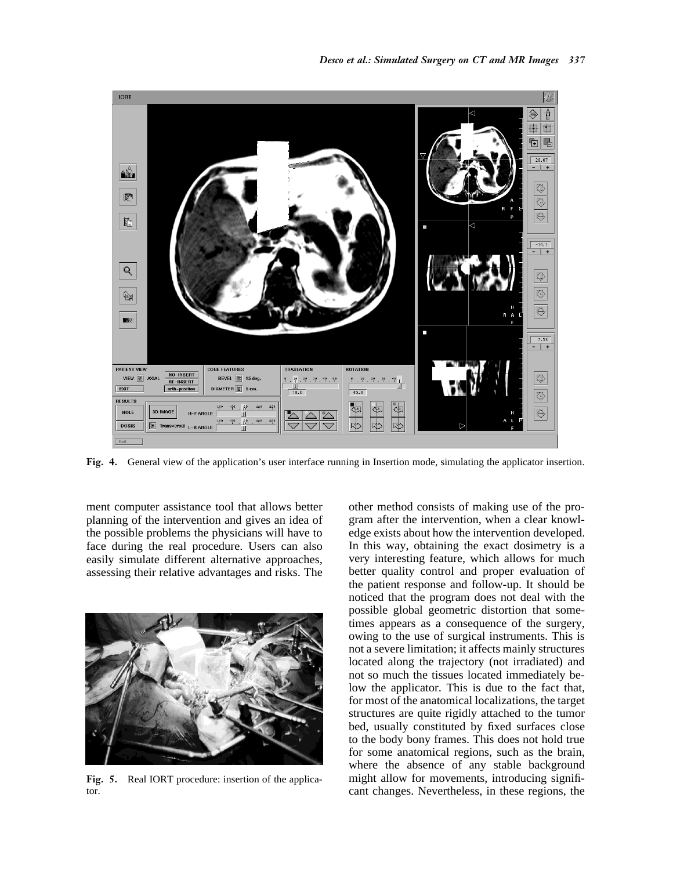

**Fig. 4.** General view of the application's user interface running in Insertion mode, simulating the applicator insertion.

ment computer assistance tool that allows better other method consists of making use of the pro-<br>planning of the intervention and gives an idea of gram after the intervention, when a clear knowlplanning of the intervention and gives an idea of face during the real procedure. Users can also



the possible problems the physicians will have to edge exists about how the intervention developed.<br>
face during the real procedure. Users can also In this way, obtaining the exact dosimetry is a easily simulate different alternative approaches, very interesting feature, which allows for much assessing their relative advantages and risks. The better quality control and proper evaluation of the patient response and follow-up. It should be noticed that the program does not deal with the possible global geometric distortion that sometimes appears as a consequence of the surgery, owing to the use of surgical instruments. This is not a severe limitation; it affects mainly structures located along the trajectory (not irradiated) and not so much the tissues located immediately below the applicator. This is due to the fact that, for most of the anatomical localizations, the target structures are quite rigidly attached to the tumor bed, usually constituted by fixed surfaces close to the body bony frames. This does not hold true for some anatomical regions, such as the brain, where the absence of any stable background Fig. 5. Real IORT procedure: insertion of the applica- might allow for movements, introducing signifitor. cant changes. Nevertheless, in these regions, the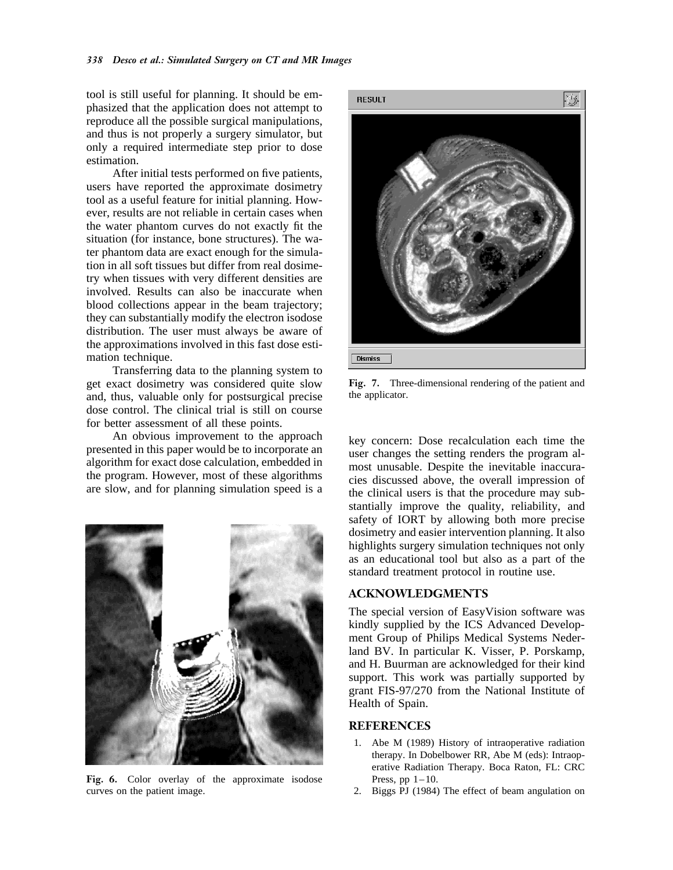tool is still useful for planning. It should be emphasized that the application does not attempt to reproduce all the possible surgical manipulations, and thus is not properly a surgery simulator, but only a required intermediate step prior to dose estimation.

After initial tests performed on five patients, users have reported the approximate dosimetry tool as a useful feature for initial planning. However, results are not reliable in certain cases when the water phantom curves do not exactly fit the situation (for instance, bone structures). The water phantom data are exact enough for the simulation in all soft tissues but differ from real dosimetry when tissues with very different densities are involved. Results can also be inaccurate when blood collections appear in the beam trajectory; they can substantially modify the electron isodose distribution. The user must always be aware of the approximations involved in this fast dose estimation technique.

Transferring data to the planning system to get exact dosimetry was considered quite slow **Fig. 7.** Three-dimensional rendering of the patient and and, thus, valuable only for postsurgical precise the applicator. dose control. The clinical trial is still on course for better assessment of all these points.



Fig. 6. Color overlay of the approximate isodose Press, pp 1–10. curves on the patient image. 2. Biggs PJ (1984) The effect of beam angulation on



An obvious improvement to the approach<br>presented in this paper would be to incorporate an<br>algorithm for exact dose calculation, embedded in<br>the program. However, most of these algorithms<br>are slow, and for planning simulati stantially improve the quality, reliability, and safety of IORT by allowing both more precise dosimetry and easier intervention planning. It also highlights surgery simulation techniques not only as an educational tool but also as a part of the standard treatment protocol in routine use.

### **ACKNOWLEDGMENTS**

The special version of EasyVision software was kindly supplied by the ICS Advanced Development Group of Philips Medical Systems Nederland BV. In particular K. Visser, P. Porskamp, and H. Buurman are acknowledged for their kind support. This work was partially supported by grant FIS-97/270 from the National Institute of Health of Spain.

### **REFERENCES**

- 1. Abe M (1989) History of intraoperative radiation therapy. In Dobelbower RR, Abe M (eds): Intraoperative Radiation Therapy. Boca Raton, FL: CRC
-